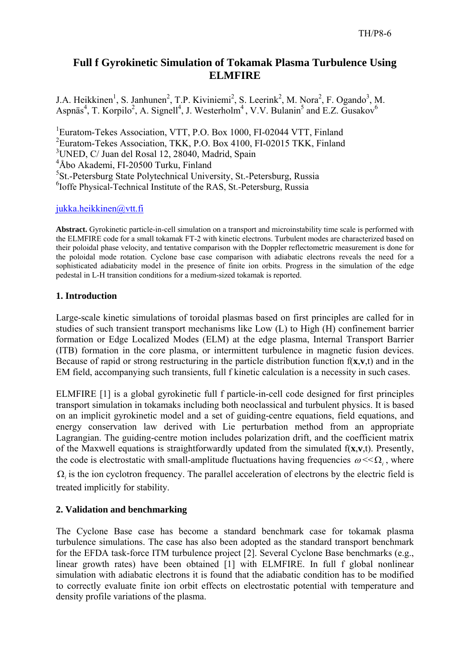# **Full f Gyrokinetic Simulation of Tokamak Plasma Turbulence Using ELMFIRE**

J.A. Heikkinen<sup>1</sup>, S. Janhunen<sup>2</sup>, T.P. Kiviniemi<sup>2</sup>, S. Leerink<sup>2</sup>, M. Nora<sup>2</sup>, F. Ogando<sup>3</sup>, M. Aspnäs<sup>4</sup>, T. Korpilo<sup>2</sup>, A. Signell<sup>4</sup>, J. Westerholm<sup>4</sup>, V.V. Bulanin<sup>5</sup> and E.Z. Gusakov<sup>6</sup>

<sup>1</sup>Euratom-Tekes Association, VTT, P.O. Box 1000, FI-02044 VTT, Finland <sup>2</sup>Euratom-Tekes Association, TKK, P.O. Box 4100, FI-02015 TKK, Finland UNED, C/ Juan del Rosal 12, 28040, Madrid, Spain Åbo Akademi, FI-20500 Turku, Finland St.-Petersburg State Polytechnical University, St.-Petersburg, Russia Ioffe Physical-Technical Institute of the RAS, St.-Petersburg, Russia

# jukka.heikkinen@vtt.fi

**Abstract.** Gyrokinetic particle-in-cell simulation on a transport and microinstability time scale is performed with the ELMFIRE code for a small tokamak FT-2 with kinetic electrons. Turbulent modes are characterized based on their poloidal phase velocity, and tentative comparison with the Doppler reflectometric measurement is done for the poloidal mode rotation. Cyclone base case comparison with adiabatic electrons reveals the need for a sophisticated adiabaticity model in the presence of finite ion orbits. Progress in the simulation of the edge pedestal in L-H transition conditions for a medium-sized tokamak is reported.

# **1. Introduction**

Large-scale kinetic simulations of toroidal plasmas based on first principles are called for in studies of such transient transport mechanisms like Low (L) to High (H) confinement barrier formation or Edge Localized Modes (ELM) at the edge plasma, Internal Transport Barrier (ITB) formation in the core plasma, or intermittent turbulence in magnetic fusion devices. Because of rapid or strong restructuring in the particle distribution function f(**x**,**v**,t) and in the EM field, accompanying such transients, full f kinetic calculation is a necessity in such cases.

ELMFIRE [1] is a global gyrokinetic full f particle-in-cell code designed for first principles transport simulation in tokamaks including both neoclassical and turbulent physics. It is based on an implicit gyrokinetic model and a set of guiding-centre equations, field equations, and energy conservation law derived with Lie perturbation method from an appropriate Lagrangian. The guiding-centre motion includes polarization drift, and the coefficient matrix of the Maxwell equations is straightforwardly updated from the simulated f(**x**,**v**,t). Presently, the code is electrostatic with small-amplitude fluctuations having frequencies  $\omega \ll \Omega_i$ , where

 $\Omega_i$  is the ion cyclotron frequency. The parallel acceleration of electrons by the electric field is treated implicitly for stability.

# **2. Validation and benchmarking**

The Cyclone Base case has become a standard benchmark case for tokamak plasma turbulence simulations. The case has also been adopted as the standard transport benchmark for the EFDA task-force ITM turbulence project [2]. Several Cyclone Base benchmarks (e.g., linear growth rates) have been obtained [1] with ELMFIRE. In full f global nonlinear simulation with adiabatic electrons it is found that the adiabatic condition has to be modified to correctly evaluate finite ion orbit effects on electrostatic potential with temperature and density profile variations of the plasma.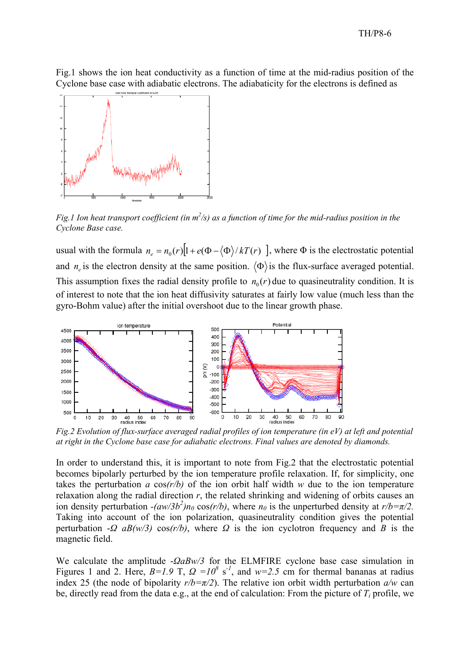Fig.1 shows the ion heat conductivity as a function of time at the mid-radius position of the Cyclone base case with adiabatic electrons. The adiabaticity for the electrons is defined as



Fig.1 Ion heat transport coefficient (in  $m^2/s$ ) as a function of time for the mid-radius position in the *Cyclone Base case.* 

usual with the formula  $n_e = n_0(r)[1 + e(\Phi - \langle \Phi \rangle / kT(r))]$ , where  $\Phi$  is the electrostatic potential and  $n_e$  is the electron density at the same position.  $\langle \Phi \rangle$  is the flux-surface averaged potential. This assumption fixes the radial density profile to  $n_0(r)$  due to quasineutrality condition. It is of interest to note that the ion heat diffusivity saturates at fairly low value (much less than the gyro-Bohm value) after the initial overshoot due to the linear growth phase.



*Fig.2 Evolution of flux-surface averaged radial profiles of ion temperature (in eV) at left and potential at right in the Cyclone base case for adiabatic electrons. Final values are denoted by diamonds.* 

In order to understand this, it is important to note from Fig.2 that the electrostatic potential becomes bipolarly perturbed by the ion temperature profile relaxation. If, for simplicity, one takes the perturbation *a* cos*(r/b)* of the ion orbit half width *w* due to the ion temperature relaxation along the radial direction *r*, the related shrinking and widening of orbits causes an ion density perturbation  $-(aw/3b^2)n_0 \cos(r/b)$ , where  $n_0$  is the unperturbed density at  $r/b = \pi/2$ . Taking into account of the ion polarization, quasineutrality condition gives the potential perturbation -*Ω aB(w/3)* cos*(r/b)*, where *Ω* is the ion cyclotron frequency and *B* is the magnetic field.

We calculate the amplitude -*ΩaBw/3* for the ELMFIRE cyclone base case simulation in Figures 1 and 2. Here,  $B=1.9$  T,  $\Omega = 10^8$  s<sup>-1</sup>, and  $w=2.5$  cm for thermal bananas at radius index 25 (the node of bipolarity  $r/b = \pi/2$ ). The relative ion orbit width perturbation  $a/w$  can be, directly read from the data e.g., at the end of calculation: From the picture of  $T_i$  profile, we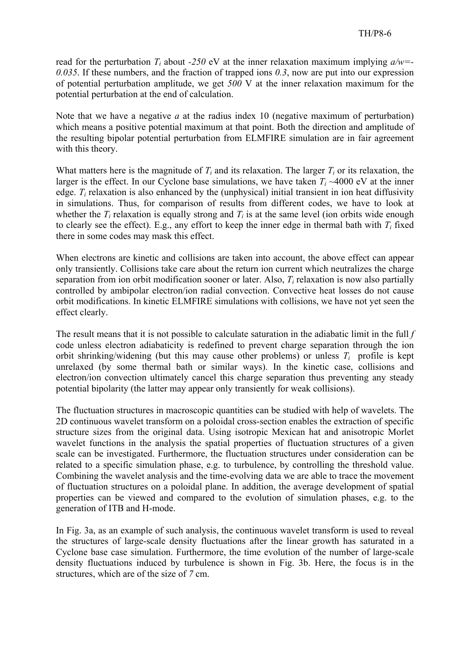read for the perturbation  $T_i$  about *-250* eV at the inner relaxation maximum implying  $a/w =$ *0.035*. If these numbers, and the fraction of trapped ions *0.3*, now are put into our expression of potential perturbation amplitude, we get *500* V at the inner relaxation maximum for the potential perturbation at the end of calculation.

Note that we have a negative *a* at the radius index 10 (negative maximum of perturbation) which means a positive potential maximum at that point. Both the direction and amplitude of the resulting bipolar potential perturbation from ELMFIRE simulation are in fair agreement with this theory.

What matters here is the magnitude of  $T_i$  and its relaxation. The larger  $T_i$  or its relaxation, the larger is the effect. In our Cyclone base simulations, we have taken  $T_i \sim 4000$  eV at the inner edge.  $T_i$  relaxation is also enhanced by the (unphysical) initial transient in ion heat diffusivity in simulations. Thus, for comparison of results from different codes, we have to look at whether the  $T_i$  relaxation is equally strong and  $T_i$  is at the same level (ion orbits wide enough to clearly see the effect). E.g., any effort to keep the inner edge in thermal bath with  $T_i$  fixed there in some codes may mask this effect.

When electrons are kinetic and collisions are taken into account, the above effect can appear only transiently. Collisions take care about the return ion current which neutralizes the charge separation from ion orbit modification sooner or later. Also,  $T_i$  relaxation is now also partially controlled by ambipolar electron/ion radial convection. Convective heat losses do not cause orbit modifications. In kinetic ELMFIRE simulations with collisions, we have not yet seen the effect clearly.

The result means that it is not possible to calculate saturation in the adiabatic limit in the full *f* code unless electron adiabaticity is redefined to prevent charge separation through the ion orbit shrinking/widening (but this may cause other problems) or unless  $T_i$  profile is kept unrelaxed (by some thermal bath or similar ways). In the kinetic case, collisions and electron/ion convection ultimately cancel this charge separation thus preventing any steady potential bipolarity (the latter may appear only transiently for weak collisions).

The fluctuation structures in macroscopic quantities can be studied with help of wavelets. The 2D continuous wavelet transform on a poloidal cross-section enables the extraction of specific structure sizes from the original data. Using isotropic Mexican hat and anisotropic Morlet wavelet functions in the analysis the spatial properties of fluctuation structures of a given scale can be investigated. Furthermore, the fluctuation structures under consideration can be related to a specific simulation phase, e.g. to turbulence, by controlling the threshold value. Combining the wavelet analysis and the time-evolving data we are able to trace the movement of fluctuation structures on a poloidal plane. In addition, the average development of spatial properties can be viewed and compared to the evolution of simulation phases, e.g. to the generation of ITB and H-mode.

In Fig. 3a, as an example of such analysis, the continuous wavelet transform is used to reveal the structures of large-scale density fluctuations after the linear growth has saturated in a Cyclone base case simulation. Furthermore, the time evolution of the number of large-scale density fluctuations induced by turbulence is shown in Fig. 3b. Here, the focus is in the structures, which are of the size of *7* cm.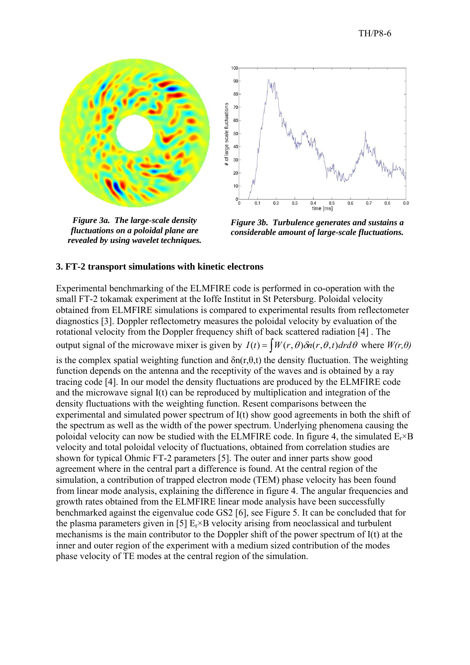



*Figure 3a. The large-scale density fluctuations on a poloidal plane are revealed by using wavelet techniques.* 

*Figure 3b. Turbulence generates and sustains a considerable amount of large-scale fluctuations.* 

#### **3. FT-2 transport simulations with kinetic electrons**

Experimental benchmarking of the ELMFIRE code is performed in co-operation with the small FT-2 tokamak experiment at the Ioffe Institut in St Petersburg. Poloidal velocity obtained from ELMFIRE simulations is compared to experimental results from reflectometer diagnostics [3]. Doppler reflectometry measures the poloidal velocity by evaluation of the rotational velocity from the Doppler frequency shift of back scattered radiation [4] . The output signal of the microwave mixer is given by  $I(t) = \int W(r, \theta) \delta n(r, \theta, t) dr d\theta$  where  $W(r, \theta)$ is the complex spatial weighting function and  $\delta n(r,\theta,t)$  the density fluctuation. The weighting function depends on the antenna and the receptivity of the waves and is obtained by a ray tracing code [4]. In our model the density fluctuations are produced by the ELMFIRE code and the microwave signal I(t) can be reproduced by multiplication and integration of the density fluctuations with the weighting function. Resent comparisons between the experimental and simulated power spectrum of I(t) show good agreements in both the shift of the spectrum as well as the width of the power spectrum. Underlying phenomena causing the poloidal velocity can now be studied with the ELMFIRE code. In figure 4, the simulated  $E_r \times B$ velocity and total poloidal velocity of fluctuations, obtained from correlation studies are shown for typical Ohmic FT-2 parameters [5]. The outer and inner parts show good agreement where in the central part a difference is found. At the central region of the simulation, a contribution of trapped electron mode (TEM) phase velocity has been found from linear mode analysis, explaining the difference in figure 4. The angular frequencies and growth rates obtained from the ELMFIRE linear mode analysis have been successfully benchmarked against the eigenvalue code GS2 [6], see Figure 5. It can be concluded that for the plasma parameters given in [5]  $E_r \times B$  velocity arising from neoclassical and turbulent mechanisms is the main contributor to the Doppler shift of the power spectrum of I(t) at the inner and outer region of the experiment with a medium sized contribution of the modes phase velocity of TE modes at the central region of the simulation.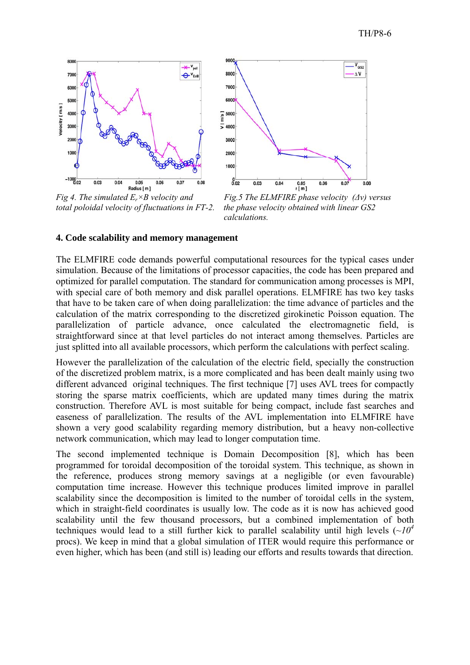

*total poloidal velocity of fluctuations in FT-2. the phase velocity obtained with linear GS2* 



 *calculations.* 

### **4. Code scalability and memory management**

The ELMFIRE code demands powerful computational resources for the typical cases under simulation. Because of the limitations of processor capacities, the code has been prepared and optimized for parallel computation. The standard for communication among processes is MPI, with special care of both memory and disk parallel operations. ELMFIRE has two key tasks that have to be taken care of when doing parallelization: the time advance of particles and the calculation of the matrix corresponding to the discretized girokinetic Poisson equation. The parallelization of particle advance, once calculated the electromagnetic field, is straightforward since at that level particles do not interact among themselves. Particles are just splitted into all available processors, which perform the calculations with perfect scaling.

However the parallelization of the calculation of the electric field, specially the construction of the discretized problem matrix, is a more complicated and has been dealt mainly using two different advanced original techniques. The first technique [7] uses AVL trees for compactly storing the sparse matrix coefficients, which are updated many times during the matrix construction. Therefore AVL is most suitable for being compact, include fast searches and easeness of parallelization. The results of the AVL implementation into ELMFIRE have shown a very good scalability regarding memory distribution, but a heavy non-collective network communication, which may lead to longer computation time.

The second implemented technique is Domain Decomposition [8], which has been programmed for toroidal decomposition of the toroidal system. This technique, as shown in the reference, produces strong memory savings at a negligible (or even favourable) computation time increase. However this technique produces limited improve in parallel scalability since the decomposition is limited to the number of toroidal cells in the system, which in straight-field coordinates is usually low. The code as it is now has achieved good scalability until the few thousand processors, but a combined implementation of both techniques would lead to a still further kick to parallel scalability until high levels  $(\sim 10^4$ procs). We keep in mind that a global simulation of ITER would require this performance or even higher, which has been (and still is) leading our efforts and results towards that direction.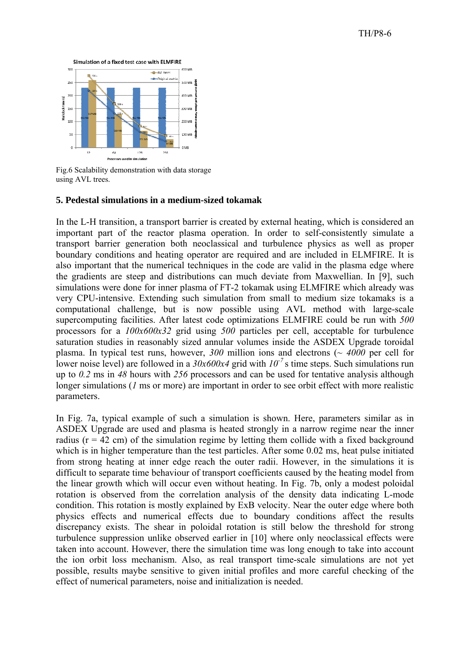

Fig.6 Scalability demonstration with data storage using AVL trees.

### **5. Pedestal simulations in a medium-sized tokamak**

In the L-H transition, a transport barrier is created by external heating, which is considered an important part of the reactor plasma operation. In order to self-consistently simulate a transport barrier generation both neoclassical and turbulence physics as well as proper boundary conditions and heating operator are required and are included in ELMFIRE. It is also important that the numerical techniques in the code are valid in the plasma edge where the gradients are steep and distributions can much deviate from Maxwellian. In [9], such simulations were done for inner plasma of FT-2 tokamak using ELMFIRE which already was very CPU-intensive. Extending such simulation from small to medium size tokamaks is a computational challenge, but is now possible using AVL method with large-scale supercomputing facilities. After latest code optimizations ELMFIRE could be run with 500 processors for a  $100x600x32$  grid using  $500$  particles per cell, acceptable for turbulence saturation studies in reasonably sized annular volumes inside the ASDEX Upgrade toroidal plasma. In typical test runs, however,  $300$  million ions and electrons ( $\sim 4000$  per cell for lower noise level) are followed in a  $30x600x4$  grid with  $10^{-7}$  s time steps. Such simulations run up to  $0.2$  ms in  $48$  hours with  $256$  processors and can be used for tentative analysis although longer simulations  $(I \text{ ms or more})$  are important in order to see orbit effect with more realistic parameters.

In Fig. 7a, typical example of such a simulation is shown. Here, parameters similar as in ASDEX Upgrade are used and plasma is heated strongly in a narrow regime near the inner radius ( $r = 42$  cm) of the simulation regime by letting them collide with a fixed background which is in higher temperature than the test particles. After some 0.02 ms, heat pulse initiated from strong heating at inner edge reach the outer radii. However, in the simulations it is difficult to separate time behaviour of transport coefficients caused by the heating model from the linear growth which will occur even without heating. In Fig. 7b, only a modest poloidal rotation is observed from the correlation analysis of the density data indicating L-mode condition. This rotation is mostly explained by ExB velocity. Near the outer edge where both physics effects and numerical effects due to boundary conditions affect the results discrepancy exists. The shear in poloidal rotation is still below the threshold for strong turbulence suppression unlike observed earlier in [10] where only neoclassical effects were taken into account. However, there the simulation time was long enough to take into account the ion orbit loss mechanism. Also, as real transport time-scale simulations are not yet possible, results maybe sensitive to given initial profiles and more careful checking of the effect of numerical parameters, noise and initialization is needed.